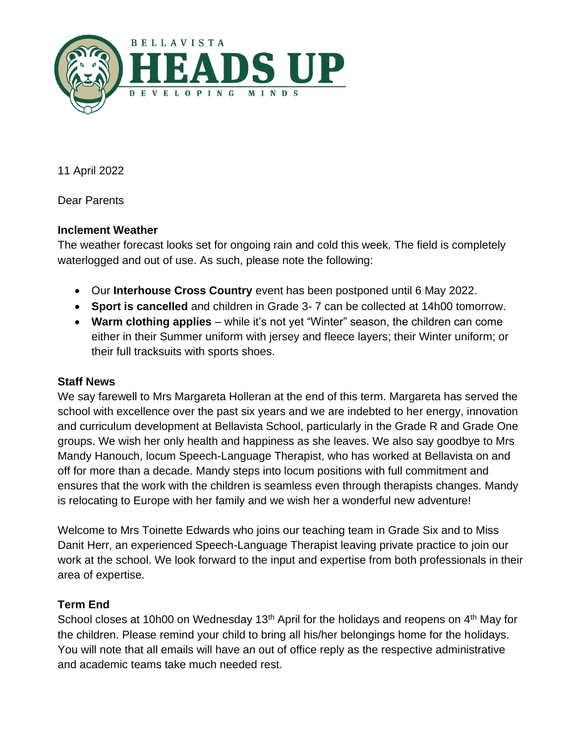

11 April 2022

Dear Parents

# **Inclement Weather**

The weather forecast looks set for ongoing rain and cold this week. The field is completely waterlogged and out of use. As such, please note the following:

- Our **Interhouse Cross Country** event has been postponed until 6 May 2022.
- **Sport is cancelled** and children in Grade 3- 7 can be collected at 14h00 tomorrow.
- **Warm clothing applies** while it's not yet "Winter" season, the children can come either in their Summer uniform with jersey and fleece layers; their Winter uniform; or their full tracksuits with sports shoes.

#### **Staff News**

We say farewell to Mrs Margareta Holleran at the end of this term. Margareta has served the school with excellence over the past six years and we are indebted to her energy, innovation and curriculum development at Bellavista School, particularly in the Grade R and Grade One groups. We wish her only health and happiness as she leaves. We also say goodbye to Mrs Mandy Hanouch, locum Speech-Language Therapist, who has worked at Bellavista on and off for more than a decade. Mandy steps into locum positions with full commitment and ensures that the work with the children is seamless even through therapists changes. Mandy is relocating to Europe with her family and we wish her a wonderful new adventure!

Welcome to Mrs Toinette Edwards who joins our teaching team in Grade Six and to Miss Danit Herr, an experienced Speech-Language Therapist leaving private practice to join our work at the school. We look forward to the input and expertise from both professionals in their area of expertise.

# **Term End**

School closes at 10h00 on Wednesday 13<sup>th</sup> April for the holidays and reopens on 4<sup>th</sup> May for the children. Please remind your child to bring all his/her belongings home for the holidays. You will note that all emails will have an out of office reply as the respective administrative and academic teams take much needed rest.